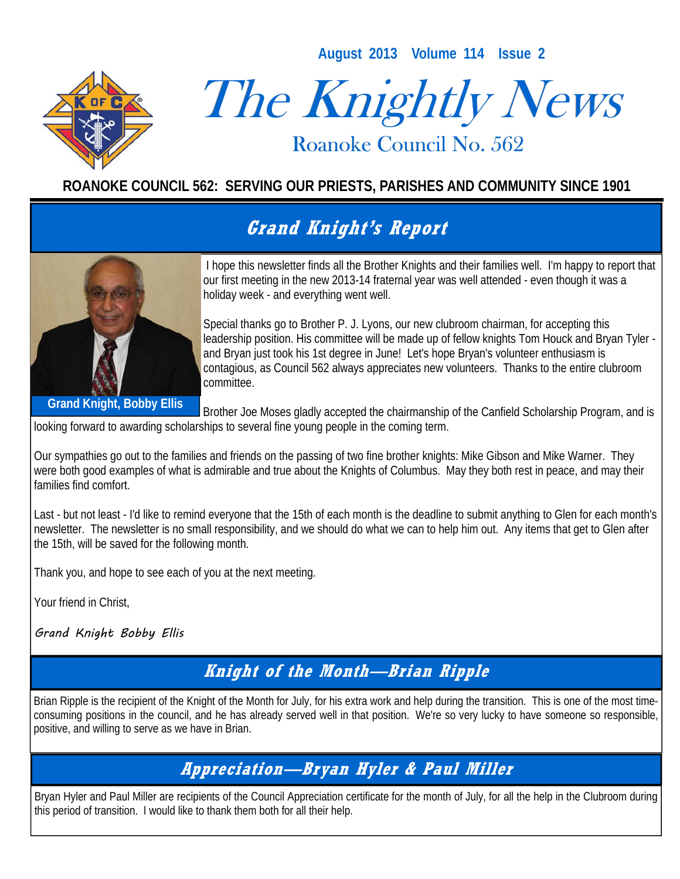**August 2013 Volume 114 Issue 2** 



# The Knightly News

Roanoke Council No. 562 Roanoke Council No. 562

#### **ROANOKE COUNCIL 562: SERVING OUR PRIESTS, PARISHES AND COMMUNITY SINCE 1901**

# **Grand Knight's Report**



 I hope this newsletter finds all the Brother Knights and their families well. I'm happy to report that our first meeting in the new 2013-14 fraternal year was well attended - even though it was a holiday week - and everything went well.

Special thanks go to Brother P. J. Lyons, our new clubroom chairman, for accepting this leadership position. His committee will be made up of fellow knights Tom Houck and Bryan Tyler and Bryan just took his 1st degree in June! Let's hope Bryan's volunteer enthusiasm is contagious, as Council 562 always appreciates new volunteers. Thanks to the entire clubroom committee.

**Grand Knight, Bobby Ellis** 

Brother Joe Moses gladly accepted the chairmanship of the Canfield Scholarship Program, and is

looking forward to awarding scholarships to several fine young people in the coming term.

Our sympathies go out to the families and friends on the passing of two fine brother knights: Mike Gibson and Mike Warner. They were both good examples of what is admirable and true about the Knights of Columbus. May they both rest in peace, and may their families find comfort.

Last - but not least - I'd like to remind everyone that the 15th of each month is the deadline to submit anything to Glen for each month's newsletter. The newsletter is no small responsibility, and we should do what we can to help him out. Any items that get to Glen after the 15th, will be saved for the following month.

Thank you, and hope to see each of you at the next meeting.

Your friend in Christ,

Grand Knight Bobby Ellis

### **Knight of the Month—Brian Ripple**

Brian Ripple is the recipient of the Knight of the Month for July, for his extra work and help during the transition. This is one of the most timeconsuming positions in the council, and he has already served well in that position. We're so very lucky to have someone so responsible, positive, and willing to serve as we have in Brian.

#### **Appreciation—Bryan Hyler & Paul Miller**

Bryan Hyler and Paul Miller are recipients of the Council Appreciation certificate for the month of July, for all the help in the Clubroom during this period of transition. I would like to thank them both for all their help.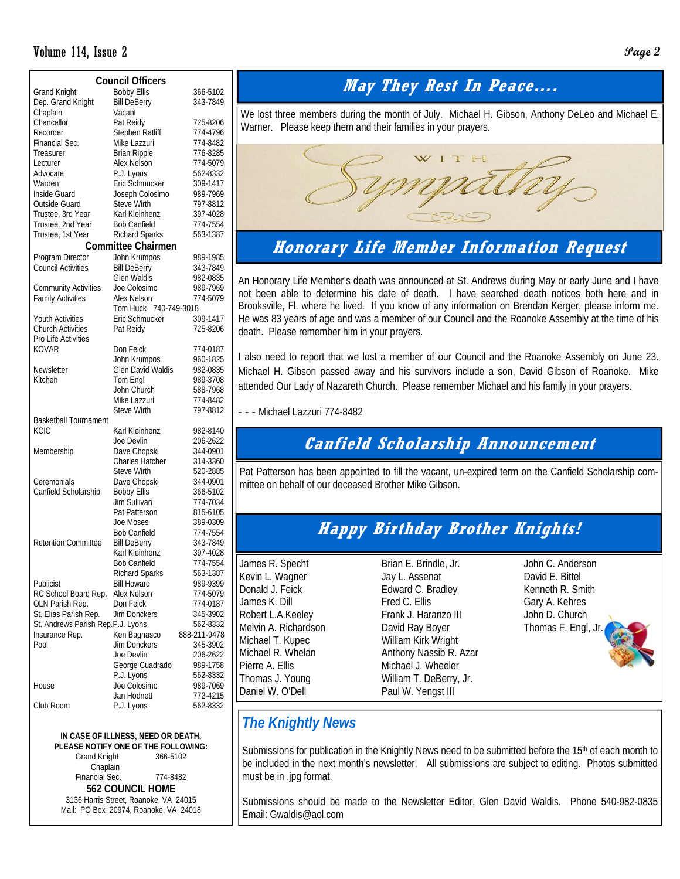#### Volume 114, Issue 2 **Page 2**

| <b>Council Officers</b>                                 |                                             |                          |  |  |  |  |  |  |
|---------------------------------------------------------|---------------------------------------------|--------------------------|--|--|--|--|--|--|
| <b>Grand Knight</b>                                     | <b>Bobby Ellis</b>                          | 366-5102                 |  |  |  |  |  |  |
| Dep. Grand Knight                                       | <b>Bill DeBerry</b>                         | 343-7849                 |  |  |  |  |  |  |
| Chaplain                                                | Vacant                                      |                          |  |  |  |  |  |  |
| Chancellor                                              | Pat Reidy                                   | 725-8206                 |  |  |  |  |  |  |
| Recorder                                                | Stephen Ratliff                             | 774-4796                 |  |  |  |  |  |  |
| Financial Sec.                                          | Mike Lazzuri                                | 774-8482                 |  |  |  |  |  |  |
| Treasurer                                               | <b>Brian Ripple</b>                         | 776-8285                 |  |  |  |  |  |  |
| Lecturer                                                | Alex Nelson                                 | 774-5079                 |  |  |  |  |  |  |
| Advocate                                                | P.J. Lyons                                  | 562-8332                 |  |  |  |  |  |  |
| Warden                                                  | Eric Schmucker                              | 309-1417                 |  |  |  |  |  |  |
| Inside Guard                                            | Joseph Colosimo                             | 989-7969                 |  |  |  |  |  |  |
| Outside Guard                                           | Steve Wirth                                 | 797-8812                 |  |  |  |  |  |  |
| Trustee, 3rd Year                                       | Karl Kleinhenz<br><b>Bob Canfield</b>       | 397-4028                 |  |  |  |  |  |  |
| Trustee, 2nd Year                                       |                                             | 774-7554<br>563-1387     |  |  |  |  |  |  |
| Trustee, 1st Year                                       | <b>Richard Sparks</b><br>Committee Chairmen |                          |  |  |  |  |  |  |
|                                                         |                                             |                          |  |  |  |  |  |  |
| Program Director                                        | John Krumpos                                | 989-1985                 |  |  |  |  |  |  |
| Council Activities                                      | <b>Bill DeBerry</b><br>Glen Waldis          | 343-7849                 |  |  |  |  |  |  |
|                                                         | Joe Colosimo                                | 982-0835                 |  |  |  |  |  |  |
| <b>Community Activities</b><br><b>Family Activities</b> | Alex Nelson                                 | 989-7969<br>774-5079     |  |  |  |  |  |  |
|                                                         | Tom Huck 740-749-3018                       |                          |  |  |  |  |  |  |
| <b>Youth Activities</b>                                 | Eric Schmucker                              | 309-1417                 |  |  |  |  |  |  |
| <b>Church Activities</b>                                | Pat Reidy                                   | 725-8206                 |  |  |  |  |  |  |
| Pro Life Activities                                     |                                             |                          |  |  |  |  |  |  |
| KOVAR                                                   | Don Feick                                   | 774-0187                 |  |  |  |  |  |  |
|                                                         | John Krumpos                                | 960-1825                 |  |  |  |  |  |  |
| Newsletter                                              | <b>Glen David Waldis</b>                    | 982-0835                 |  |  |  |  |  |  |
| Kitchen                                                 | Tom Engl                                    | 989-3708                 |  |  |  |  |  |  |
|                                                         | John Church                                 | 588-7968                 |  |  |  |  |  |  |
|                                                         | Mike Lazzuri                                | 774-8482                 |  |  |  |  |  |  |
|                                                         | <b>Steve Wirth</b>                          | 797-8812                 |  |  |  |  |  |  |
| <b>Basketball Tournament</b>                            |                                             |                          |  |  |  |  |  |  |
| <b>KCIC</b>                                             | Karl Kleinhenz                              | 982-8140                 |  |  |  |  |  |  |
|                                                         | Joe Devlin                                  | 206-2622                 |  |  |  |  |  |  |
| Membership                                              | Dave Chopski<br>Charles Hatcher             | 344-0901<br>314-3360     |  |  |  |  |  |  |
|                                                         | <b>Steve Wirth</b>                          | 520-2885                 |  |  |  |  |  |  |
| Ceremonials                                             | Dave Chopski                                | 344-0901                 |  |  |  |  |  |  |
| Canfield Scholarship                                    | <b>Bobby Ellis</b>                          | 366-5102                 |  |  |  |  |  |  |
|                                                         | <b>Jim Sullivan</b>                         | 774-7034                 |  |  |  |  |  |  |
|                                                         | Pat Patterson                               | 815-6105                 |  |  |  |  |  |  |
|                                                         | Joe Moses                                   | 389-0309                 |  |  |  |  |  |  |
|                                                         | Bob Canfield                                | 774-7554                 |  |  |  |  |  |  |
| <b>Retention Committee</b>                              | <b>Bill DeBerry</b>                         | 343-7849                 |  |  |  |  |  |  |
|                                                         | Karl Kleinhenz                              | 397-4028                 |  |  |  |  |  |  |
|                                                         | Bob Canfield                                | //4-/554                 |  |  |  |  |  |  |
|                                                         | <b>Richard Sparks</b>                       | 563-1387                 |  |  |  |  |  |  |
| Publicist                                               | <b>Bill Howard</b>                          | 989-9399                 |  |  |  |  |  |  |
| RC School Board Rep.                                    | Alex Nelson                                 | 774-5079                 |  |  |  |  |  |  |
| OLN Parish Rep.                                         | Don Feick                                   | 774-0187                 |  |  |  |  |  |  |
| St. Elias Parish Rep.                                   | Jim Donckers                                | 345-3902                 |  |  |  |  |  |  |
| St. Andrews Parish Rep.P.J. Lyons                       |                                             | 562-8332                 |  |  |  |  |  |  |
| Insurance Rep.<br>Pool                                  | Ken Bagnasco<br>Jim Donckers                | 888-211-9478<br>345-3902 |  |  |  |  |  |  |
|                                                         | Joe Devlin                                  | 206-2622                 |  |  |  |  |  |  |
|                                                         | George Cuadrado                             | 989-1758                 |  |  |  |  |  |  |
|                                                         | P.J. Lyons                                  | 562-8332                 |  |  |  |  |  |  |
| House                                                   | Joe Colosimo                                | 989-7069                 |  |  |  |  |  |  |
|                                                         | Jan Hodnett                                 | 772-4215                 |  |  |  |  |  |  |
| Club Room                                               | P.J. Lyons                                  | 562-8332                 |  |  |  |  |  |  |

#### **IN CASE OF ILLNESS, NEED OR DEATH,**

**PLEASE NOTIFY ONE OF THE FOLLOWING: Grand Knight** Chaplain Financial Sec. 774-8482 **562 COUNCIL HOME**  3136 Harris Street, Roanoke, VA 24015 Mail: PO Box 20974, Roanoke, VA 24018

### **May They Rest In Peace….**

We lost three members during the month of July. Michael H. Gibson, Anthony DeLeo and Michael E. Warner. Please keep them and their families in your prayers.



#### **Honorary Life Member Information Request**

An Honorary Life Member's death was announced at St. Andrews during May or early June and I have not been able to determine his date of death. I have searched death notices both here and in Brooksville, Fl. where he lived. If you know of any information on Brendan Kerger, please inform me. He was 83 years of age and was a member of our Council and the Roanoke Assembly at the time of his death. Please remember him in your prayers.

I also need to report that we lost a member of our Council and the Roanoke Assembly on June 23. Michael H. Gibson passed away and his survivors include a son, David Gibson of Roanoke. Mike attended Our Lady of Nazareth Church. Please remember Michael and his family in your prayers.

- - - Michael Lazzuri 774-8482

#### **Canfield Scholarship Announcement**

Pat Patterson has been appointed to fill the vacant, un-expired term on the Canfield Scholarship committee on behalf of our deceased Brother Mike Gibson.

#### **Happy Birthday Brother Knights!**

James R. Specht Kevin L. Wagner Donald J. Feick James K. Dill Robert L.A.Keeley Melvin A. Richardson Michael T. Kupec Michael R. Whelan Pierre A. Ellis Thomas J. Young Daniel W. O'Dell

Brian E. Brindle, Jr. Jay L. Assenat Edward C. Bradley Fred C. Ellis Frank J. Haranzo III David Ray Boyer William Kirk Wright Anthony Nassib R. Azar Michael J. Wheeler William T. DeBerry, Jr. Paul W. Yengst III

John C. Anderson David E. Bittel Kenneth R. Smith Gary A. Kehres John D. Church Thomas F. Engl, Jr.

#### *The Knightly News*

Submissions for publication in the Knightly News need to be submitted before the 15<sup>th</sup> of each month to be included in the next month's newsletter. All submissions are subject to editing. Photos submitted must be in .jpg format.

Submissions should be made to the Newsletter Editor, Glen David Waldis. Phone 540-982-0835 Email: Gwaldis@aol.com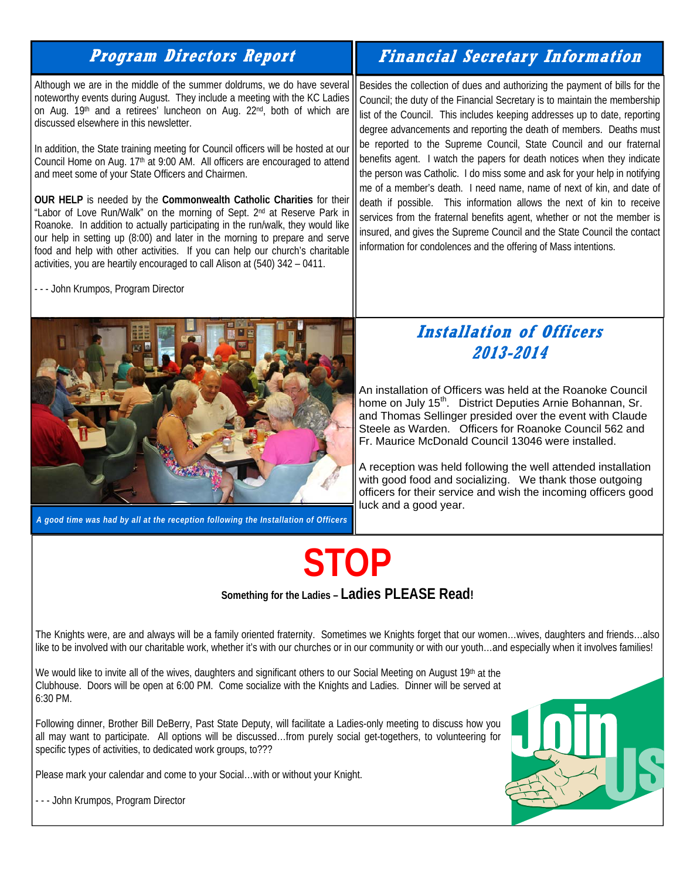#### **Program Directors Report**

Although we are in the middle of the summer doldrums, we do have several noteworthy events during August. They include a meeting with the KC Ladies on Aug. 19<sup>th</sup> and a retirees' luncheon on Aug. 22<sup>nd</sup>, both of which are discussed elsewhere in this newsletter.

In addition, the State training meeting for Council officers will be hosted at our Council Home on Aug. 17<sup>th</sup> at 9:00 AM. All officers are encouraged to attend and meet some of your State Officers and Chairmen.

**OUR HELP** is needed by the **Commonwealth Catholic Charities** for their "Labor of Love Run/Walk" on the morning of Sept. 2nd at Reserve Park in Roanoke. In addition to actually participating in the run/walk, they would like our help in setting up (8:00) and later in the morning to prepare and serve food and help with other activities. If you can help our church's charitable activities, you are heartily encouraged to call Alison at (540) 342 – 0411.

- - - John Krumpos, Program Director



*A good time was had by all at the reception following the Installation of Officers* 

# **Financial Secretary Information**

Besides the collection of dues and authorizing the payment of bills for the Council; the duty of the Financial Secretary is to maintain the membership list of the Council. This includes keeping addresses up to date, reporting degree advancements and reporting the death of members. Deaths must be reported to the Supreme Council, State Council and our fraternal benefits agent. I watch the papers for death notices when they indicate the person was Catholic. I do miss some and ask for your help in notifying me of a member's death. I need name, name of next of kin, and date of death if possible. This information allows the next of kin to receive services from the fraternal benefits agent, whether or not the member is insured, and gives the Supreme Council and the State Council the contact information for condolences and the offering of Mass intentions.

#### **Installation of Officers 2013-2014**

An installation of Officers was held at the Roanoke Council home on July 15<sup>th</sup>. District Deputies Arnie Bohannan, Sr. and Thomas Sellinger presided over the event with Claude Steele as Warden. Officers for Roanoke Council 562 and Fr. Maurice McDonald Council 13046 were installed.

A reception was held following the well attended installation with good food and socializing. We thank those outgoing officers for their service and wish the incoming officers good luck and a good year.

# **STOP**

**Something for the Ladies – Ladies PLEASE Read!**

The Knights were, are and always will be a family oriented fraternity. Sometimes we Knights forget that our women…wives, daughters and friends…also like to be involved with our charitable work, whether it's with our churches or in our community or with our youth…and especially when it involves families!

We would like to invite all of the wives, daughters and significant others to our Social Meeting on August 19th at the Clubhouse. Doors will be open at 6:00 PM. Come socialize with the Knights and Ladies. Dinner will be served at 6:30 PM.

Following dinner, Brother Bill DeBerry, Past State Deputy, will facilitate a Ladies-only meeting to discuss how you all may want to participate. All options will be discussed…from purely social get-togethers, to volunteering for specific types of activities, to dedicated work groups, to???

Please mark your calendar and come to your Social…with or without your Knight.

- - - John Krumpos, Program Director

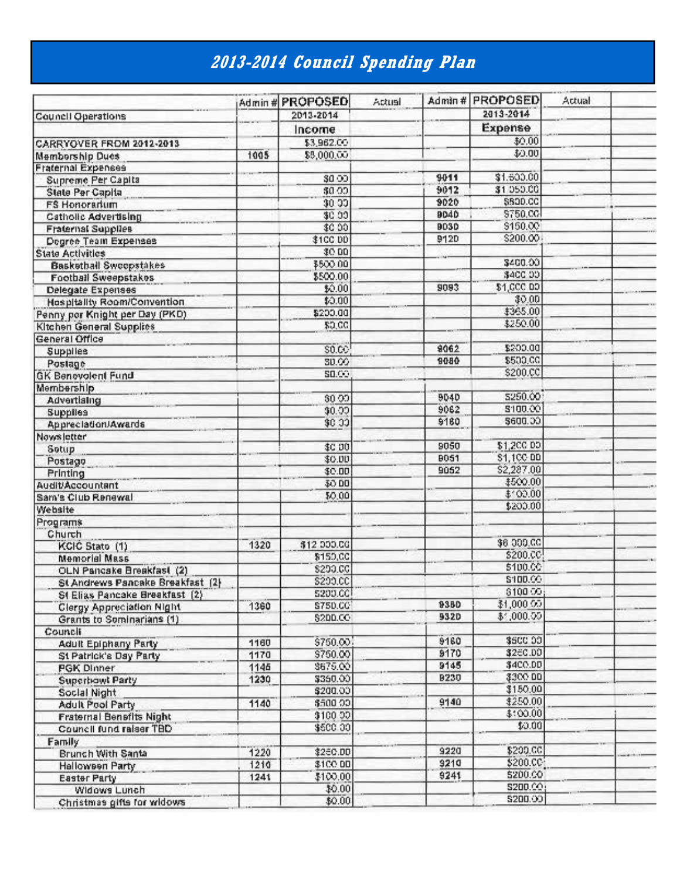# **2013-2014 Council Spending Plan**

|                                  |      | Admin # PROPOSED | Actual |             | Admin # PROPOSED     | Actual |  |
|----------------------------------|------|------------------|--------|-------------|----------------------|--------|--|
| Council Operations               |      | 2013-2014        |        |             | 2013-2014            |        |  |
|                                  |      | Income           |        |             | Expense              |        |  |
| CARRYOVER FROM 2012-2013         |      | \$3,962.00       |        |             | \$0.00               |        |  |
| <b>Membership Dues</b>           | 1005 | \$8,000.00       |        |             | \$0.00               |        |  |
| <b>Fraternal Expenses</b>        |      |                  |        |             |                      |        |  |
| Supreme Per Capita               |      | \$0.00           |        | 9011        | \$1,500.00           |        |  |
| <b>State Per Capita</b>          |      | \$0.00           |        | 9012        | \$1,050.00           |        |  |
| <b>FS Honorarium</b>             |      | \$0.00           |        | 9020        | \$500.CC             |        |  |
| <b>Catholic Advertising</b>      |      | \$0.00           |        | 9040        | \$750.CC             |        |  |
| <b>Fraternal Supplies</b>        |      | \$0.00           |        | 9030        | \$150.00             |        |  |
| Degree Team Expenses             |      | <b>\$100 DD</b>  |        | <b>912D</b> | \$200.00             |        |  |
| <b>State Activities</b>          |      | \$0.00           |        |             |                      |        |  |
| <b>Basketball Sweepstakes</b>    |      | \$500.00         |        |             | \$400.00             |        |  |
|                                  |      | \$500.00         |        |             | \$400.00             |        |  |
| <b>Football Sweepstakes</b>      |      | \$0.00           |        | 9093        | \$1,000 DD           |        |  |
| Delegate Expenses                |      | \$0.00           |        |             | \$0.00               |        |  |
| Hospitality Room/Convention      |      | \$200.00         |        |             | \$365.00             |        |  |
| Penny por Knight per Day (PKD)   |      | \$0.00           |        |             | \$250.00             |        |  |
| <b>Kitchen General Supplies</b>  |      |                  |        |             |                      |        |  |
| General Office                   |      | \$0.00           |        | 8062        | \$200.00             |        |  |
| Supplies                         |      | 30.00            |        | 9080        | \$500.00             |        |  |
| Postage                          |      | \$0.00           |        |             | \$200.CC             |        |  |
| <b>GK Benevolent Fund</b>        |      |                  |        |             |                      |        |  |
| Membership                       |      |                  |        | 9040        | 5250.00              |        |  |
| Advertising                      |      | 30.00            |        | 9062        | \$100.00             |        |  |
| <b>Supplies</b>                  |      | \$0.00           |        | \$180       | \$600.00             |        |  |
| Appreciation/Awards              |      | \$0.00           |        |             |                      |        |  |
| Nows letter                      |      |                  |        | 9050        | \$1,200.00           |        |  |
| Sotup                            |      | \$C 00           |        |             |                      |        |  |
| Postago                          |      | \$0.00           |        | 9051        | \$1,100 DD           |        |  |
| Printing                         |      | \$0.00           |        | 9052        | \$2,287.00           |        |  |
| <b>Audit/Accountant</b>          |      | \$0.00           |        |             | \$500.00<br>\$100.00 |        |  |
| Sam's Club Renewal               |      | \$0.00           |        |             | \$200.00             |        |  |
| Website                          |      |                  |        |             |                      |        |  |
| Programs                         |      |                  |        |             |                      |        |  |
| Church                           |      |                  |        |             |                      |        |  |
| KCIC Stato (1)                   | 1320 | \$12 000.CG      |        |             | \$6,000.00           |        |  |
| <b>Memorial Mass</b>             |      | \$150,00         |        |             | \$200.CC             |        |  |
| OLN Pancake Breakfast (2)        |      | \$200.CC         |        |             | \$100.00             |        |  |
| St Andrews Pancake Breakfast (2) |      | \$200.CC         |        |             | \$100.00             |        |  |
| St Elias Pancake Breakfast (2)   |      | 5200.CC          |        |             | \$100.00             |        |  |
| <b>Clergy Appreciation Night</b> | 1360 | S750.CC          |        | 9380        | \$1,000.00           |        |  |
| Grants to Sominarians (1)        |      | \$200.CO         |        | 9320        | \$1,000.00           |        |  |
| Council                          |      |                  |        |             |                      |        |  |
| Adult Epiphany Party             | 1160 | \$750.00         |        | 9160        | \$500.00             |        |  |
| St Patrick's Day Party           | 1170 | \$750.00         |        | 9170        | \$26C.DO             |        |  |
| PGK Dinner                       | 1145 | \$675.00         |        | 9145        | \$400.00             |        |  |
| <b>Superbowt Party</b>           | 1230 | \$350.00         |        | <b>B230</b> | \$300.00             |        |  |
| Social Night                     |      | \$200.00         |        |             | \$150.00             |        |  |
| <b>Adult Pool Party</b>          | 1140 | \$500.00.        |        | 9140        | \$250.00             |        |  |
| Fraternal Benefits Night         |      | \$100.00         |        |             | \$:00.00             |        |  |
| Council fund raiser TBD          |      | \$500.00         |        |             | \$0.00               |        |  |
| Family                           |      |                  |        |             |                      |        |  |
| <b>Brunch With Santa</b>         | 1220 | \$250.00         |        | 9220        | \$200.CC             |        |  |
| <b>Hallowsen Party</b>           | 1210 | \$100.00         |        | 9210        | \$200.CC             |        |  |
| Easter Party                     | 1241 | \$100.00         |        | 9241        | 5200.00              |        |  |
| Widows Lunch                     |      | \$0.00           |        |             | \$200.00;            |        |  |
| Christmas gifts for widows       |      | \$0.00           |        |             | \$200.00             |        |  |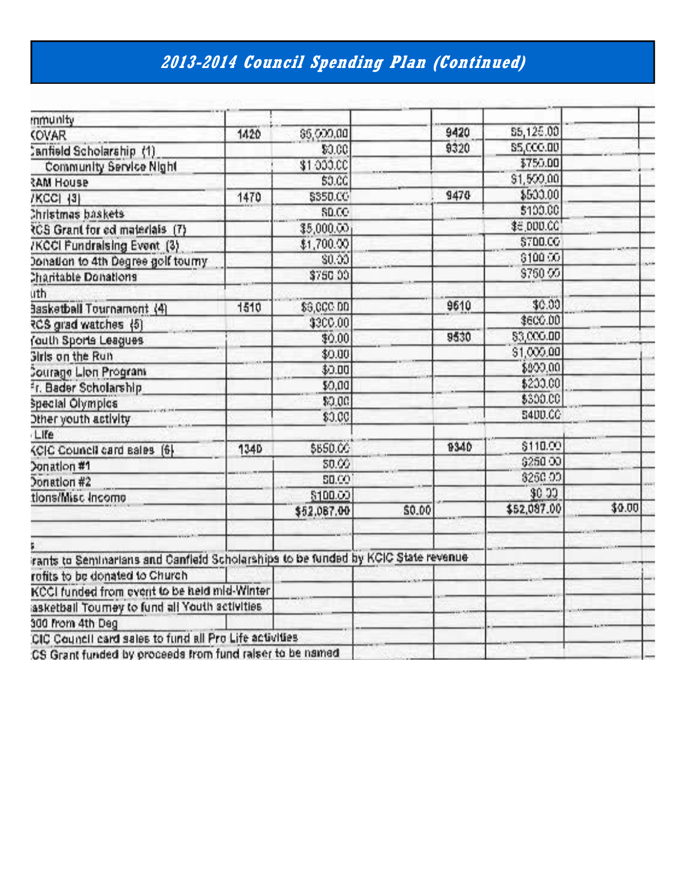# **2013-2014 Council Spending Plan (Continued)**

| mmunity                                                                            |             |              |        |      |                  |        |
|------------------------------------------------------------------------------------|-------------|--------------|--------|------|------------------|--------|
| <b>KOVAR</b>                                                                       | 1420        | \$5,000,00   |        | 9420 | \$5,125.00       |        |
| Canfield Scholarship (1)                                                           |             | 90.00        |        | 9320 | <b>S5,000.00</b> |        |
| Community Service Night                                                            |             | \$1,000.00   |        |      | \$750.00         |        |
| RAM House                                                                          |             | \$0.0G       |        |      | \$1,500,00       |        |
| /KCC[ {3}                                                                          | 1470        | \$350.CG     |        | 9470 | \$500.00         |        |
| Christmas baskets                                                                  |             | <b>SD.CO</b> |        |      | \$100.00         |        |
| RCS Grant for ed materials (7)                                                     |             | \$5,000.00   |        |      | \$6,000.CC       |        |
| /KCCI Fundralsing Event (3)                                                        |             | \$1,700.00   |        |      | \$700.00         |        |
| Donation to 4th Degree golf tourny                                                 |             | \$0.00       |        |      | \$100.00         |        |
| Charitable Donations                                                               |             | \$750.00     |        |      | \$750.00         |        |
| uth                                                                                |             |              |        |      |                  |        |
| 3asketball Tournamont (4)                                                          | 1510        | \$9,000.00   |        | 9610 | \$0.00           |        |
| RCS grad watches (5)                                                               |             | \$300.00     |        |      | \$600.00         |        |
| Youth Sports Leagues                                                               |             | \$9.00       |        | 9530 | 83,000.00        |        |
| <b>Girls on the Run</b>                                                            |             | \$0.00       |        |      | \$1,000,00       |        |
| <b>Courage Lion Program</b>                                                        |             | \$0.00       |        |      | \$900.00         |        |
| Fr. Bader Scholarship                                                              |             | \$0,00       |        |      | \$200.00         |        |
| <b>Special Olympics</b>                                                            |             | \$0.00       |        |      | \$300.00         |        |
| Other youth activity                                                               |             | \$0.00       |        |      | <b>S400.CC</b>   |        |
| Life                                                                               |             |              |        |      |                  |        |
| KCIC Council card sales [6]                                                        | <b>1340</b> | \$650.00     |        | 9340 | \$110.00         |        |
| Donation #1                                                                        |             | \$0.00       |        |      | \$250.00         |        |
| Donation #2                                                                        |             | <b>SD.CO</b> |        |      | 8250.00          |        |
| tions/Misc Income                                                                  |             | \$100.00     |        |      | \$0.00           |        |
|                                                                                    |             | \$52,087.00  | \$0.00 |      | \$52,087.00      | \$0.00 |
|                                                                                    |             |              |        |      |                  |        |
| irants to Seminarians and Canfleid Scholarships to be funded by KCIC State revenue |             |              |        |      |                  |        |
| rofits to be donated to Church                                                     |             |              |        |      |                  |        |
| KCCI funded from event to be held mid-Winter                                       |             |              |        |      |                  |        |
| iasketball Tourney to fund all Youth activities                                    |             |              |        |      |                  |        |
| 300 from 4th Deg                                                                   |             |              |        |      |                  |        |
| CIC Council card sales to fund all Pro Life activities                             |             |              |        |      |                  |        |
| :CS Grant funded by proceeds from fund raiser to be named                          |             |              |        |      |                  |        |